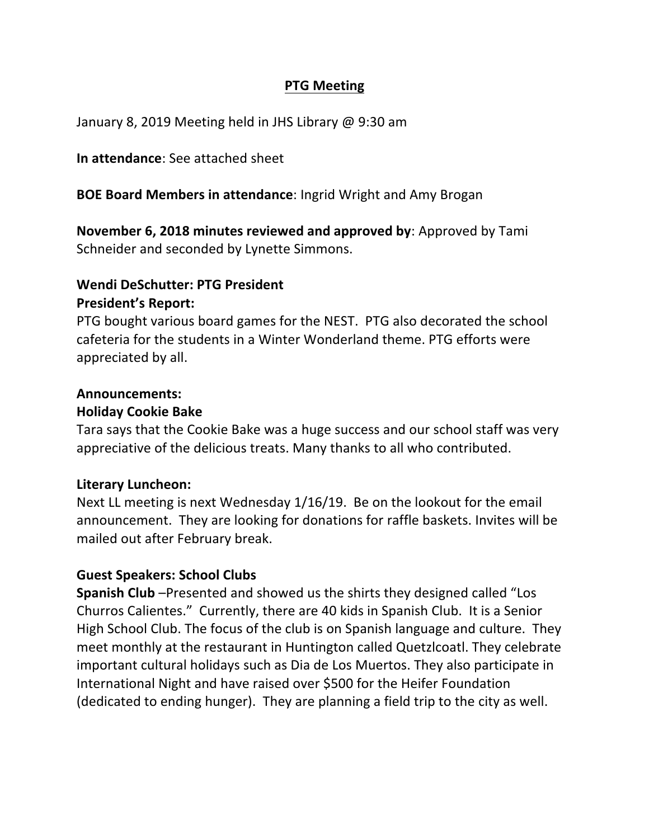### **PTG Meeting**

January 8, 2019 Meeting held in JHS Library @ 9:30 am

### **In attendance:** See attached sheet

### **BOE Board Members in attendance:** Ingrid Wright and Amy Brogan

**November 6, 2018 minutes reviewed and approved by:** Approved by Tami Schneider and seconded by Lynette Simmons.

### **Wendi DeSchutter: PTG President President's Report:**

PTG bought various board games for the NEST. PTG also decorated the school cafeteria for the students in a Winter Wonderland theme. PTG efforts were appreciated by all.

## **Announcements: Holiday Cookie Bake**

Tara says that the Cookie Bake was a huge success and our school staff was very appreciative of the delicious treats. Many thanks to all who contributed.

### **Literary Luncheon:**

Next LL meeting is next Wednesday  $1/16/19$ . Be on the lookout for the email announcement. They are looking for donations for raffle baskets. Invites will be mailed out after February break.

### **Guest Speakers: School Clubs**

**Spanish Club** –Presented and showed us the shirts they designed called "Los Churros Calientes." Currently, there are 40 kids in Spanish Club. It is a Senior High School Club. The focus of the club is on Spanish language and culture. They meet monthly at the restaurant in Huntington called Quetzlcoatl. They celebrate important cultural holidays such as Dia de Los Muertos. They also participate in International Night and have raised over \$500 for the Heifer Foundation (dedicated to ending hunger). They are planning a field trip to the city as well.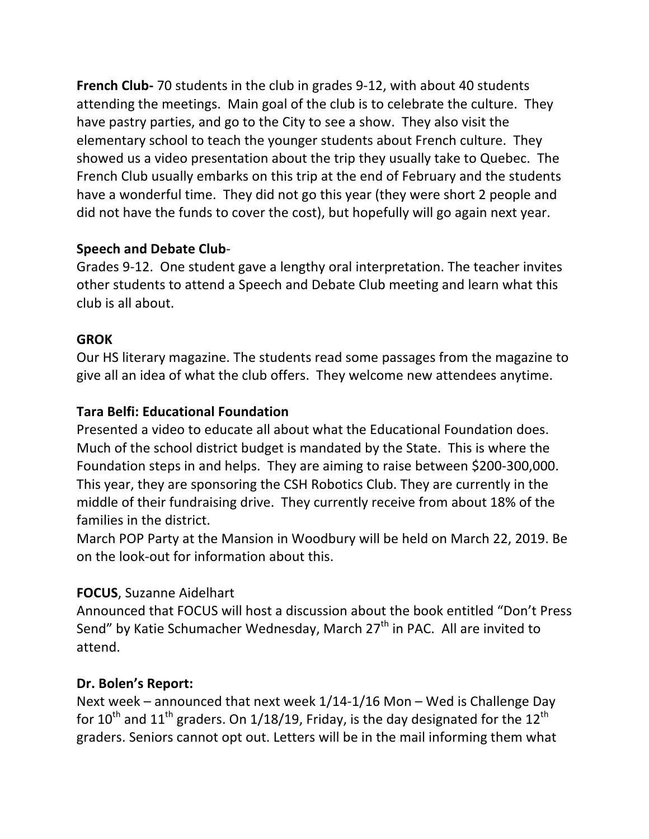**French Club-** 70 students in the club in grades 9-12, with about 40 students attending the meetings. Main goal of the club is to celebrate the culture. They have pastry parties, and go to the City to see a show. They also visit the elementary school to teach the younger students about French culture. They showed us a video presentation about the trip they usually take to Quebec. The French Club usually embarks on this trip at the end of February and the students have a wonderful time. They did not go this year (they were short 2 people and did not have the funds to cover the cost), but hopefully will go again next year.

# **Speech and Debate Club**-

Grades 9-12. One student gave a lengthy oral interpretation. The teacher invites other students to attend a Speech and Debate Club meeting and learn what this club is all about.

# **GROK**

Our HS literary magazine. The students read some passages from the magazine to give all an idea of what the club offers. They welcome new attendees anytime.

# **Tara Belfi: Educational Foundation**

Presented a video to educate all about what the Educational Foundation does. Much of the school district budget is mandated by the State. This is where the Foundation steps in and helps. They are aiming to raise between \$200-300,000. This year, they are sponsoring the CSH Robotics Club. They are currently in the middle of their fundraising drive. They currently receive from about 18% of the families in the district.

March POP Party at the Mansion in Woodbury will be held on March 22, 2019. Be on the look-out for information about this.

## **FOCUS, Suzanne Aidelhart**

Announced that FOCUS will host a discussion about the book entitled "Don't Press Send" by Katie Schumacher Wednesday, March 27<sup>th</sup> in PAC. All are invited to attend. 

## **Dr. Bolen's Report:**

Next week – announced that next week  $1/14-1/16$  Mon – Wed is Challenge Day for  $10^{\text{th}}$  and  $11^{\text{th}}$  graders. On 1/18/19, Friday, is the day designated for the  $12^{\text{th}}$ graders. Seniors cannot opt out. Letters will be in the mail informing them what